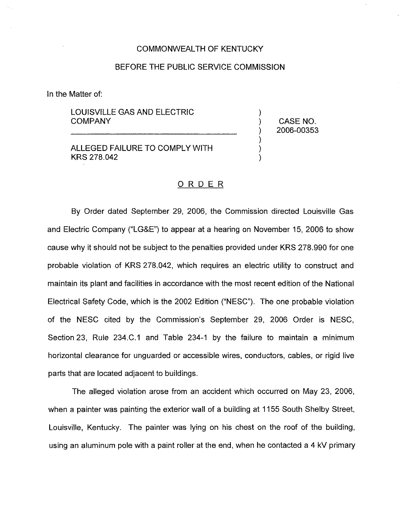#### COMMONWEALTH OF KENTUCKY

#### BEFORE THE PUBLIC SERVICE COMMISSION

In the Matter of:

LOUISVILLE GAS AND ELECTRIC **COMPANY** 

ALLEGED FAILURE TO COMPLY WITH KRS 278.042

) CASE NO. ) 2006-00353

)

) ) )

#### ORDER

By Order dated September 29, 2006, the Commission directed Louisville Gas and Electric Company ("LG&E") to appear at a hearing on November 15, 2006 to show cause why it should not be subject to the penalties provided under KRS 278.990 for one probable violation of KRS 278.042, which requires an electric utility to construct and maintain its plant and facilities in accordance with the most recent edition of the National Electrical Safety Code, which is the 2002 Edition ("NESC"). The one probable violation of the NESC cited by the Commission's September 29, 2006 Order is MESC, Section 23, Rule 234.C.1 and Table 234-1 by the failure to maintain a minimum horizontal clearance for unguarded or accessible wires, conductors, cables, or rigid live parts that are located adjacent to buildings.

The alleged violation arose from an accident which occurred on May 23, 2006, when a painter was painting the exterior wall of a building at 1155 South Shelby Street, Louisville, Kentucky. The painter was lying on his chest on the roof of the building, using an aluminum pole with a paint roller at the end, when he contacted a 4 kV primary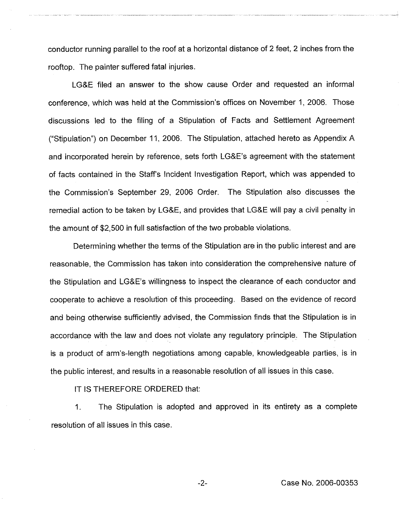conductor running parallel to the roof at a horizontal distance of 2 feet, 2 inches from the rooftop. The painter suffered fatal injuries.

LG&E filed an answer to the show cause Order and requested an informal conference, which was held at the Commission's offices on November 1, 2006. Those discussions led to the filing of a Stipulation of Facts and Settlement Agreement ("Stipulation") on December 11, 2006. The Stipulation, attached hereto as Appendix A and incorporated herein by reference, sets forth LG&E's agreement with the statement of facts contained in the Staff's Incident Investigation Report, which was appended to the Commission's September 29, 2006 Order. The Stipulation also discusses the remedial action to be taken by LG&E, and provides that LG&E will pay a civil penalty in the amount of \$2,500 in full satisfaction of the two probable violations.

Determining whether the terms of the Stipulation are in the public interest and are reasonable, the Commission has taken into consideration the comprehensive nature of the Stipulation and LG&E's willingness to inspect the clearance of each conductor and cooperate to achieve a resolution of this proceeding, Based on the evidence of record and being otherwise sufficiently advised, the Commission finds that the Stipulation is in accordance with the law and does not violate any regulatory principle. The Stipulation is a product of arm's-length negotiations among capable, knowledgeable parties, is in the public interest, and results in a reasonable resolution of all issues in this case.

IT IS THEREFORE ORDERED that:

1. The Stipulation is adopted and approved in its entirety as a complete resolution of all issues in this case.

Case No. 2006-00353

 $-2-$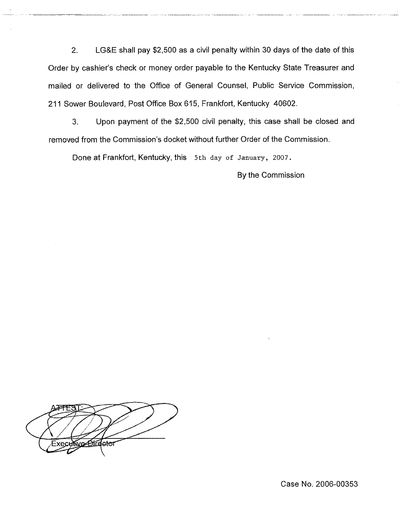2. LG&E shall pay \$2,500 as a civil penalty within 30 days of the date of this Order by cashier's check or money order payable to the Kentucky State Treasurer and mailed or delivered to the Office of General Counsel, Public Service Commission, 211 Sower Boulevard, Post Office Box 615, Frankfort, Kentucky 40602.

3. Upon payment of the \$2,500 civil penalty, this case shall be closed and removed from the Commission's docket without further Order of the Commission.

Done at Frankfort, Kentucky, this 5th day of January, 2007,

By the Commission

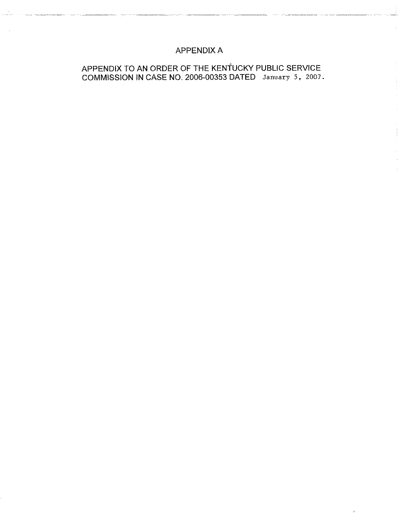## APPENDIX A

an di kacamatan di Kabupatén Bandarén Jawa Barat, Propinsi Jawa Barat, Indonesia.<br>Propinsi Jawa Barat, Jawa Barat, Indonesia.

# APPENDIX TO AN ORDER OF THE KENTUCKY PUBLIC SERVICE COMMISSION IN CASE NO. 2006-00353 DATED January 5, 2007.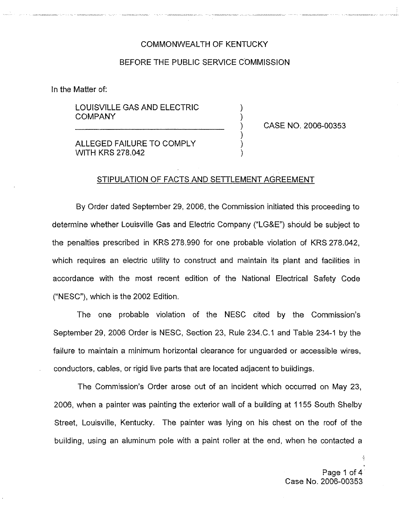### COMMONWEALTH OF KENTUCKY

#### BEFORE THE PUBLIC SERVICE COMMISSION

) )

) ) )

In the Matter of:

LOUISVILLE GAS AND ELECTRIC COMPANY

) CASE NO. 2006-00353

ALLEGED FAILURE TO COMPLY WiTH KRS 278.042

#### STIPULATION OF FACTS AND SETTLEMENT AGREEMENT

By Order dated September 29, 2006, the Commission initiated this proceeding to determine whether Louisville Gas and Electric Company ("LG&E") should be subject to the penalties prescribed in KRS 278.990 for one probable violation of KRS 278.042, which requires an electric utility to construct and maintain its plant and facilities in accordance with the most recent edition of the National Electrical Safety Code ("NESC"), which is the 2002 Edition.

The one probable violation of the NESC cited by the Commission's September 29, 2006 Order is MESC, Section 23, Rule 234.C.1 and Table 234-1 by the failure to maintain a minimum horizontal clearance for unguarded or accessible wires, conductors, cabies, or rigid live parts that are located adjacent to buildings.

The Commission's Order arose out of an incident which occurred on May 23, 2006, when a painter was painting the exterior wall of a building at 1155 South Shelby Street, Louisville, Kentucky. The painter was lying on his chest on the roof of the building, using an aluminum pole with a paint roller at the end, when he contacted a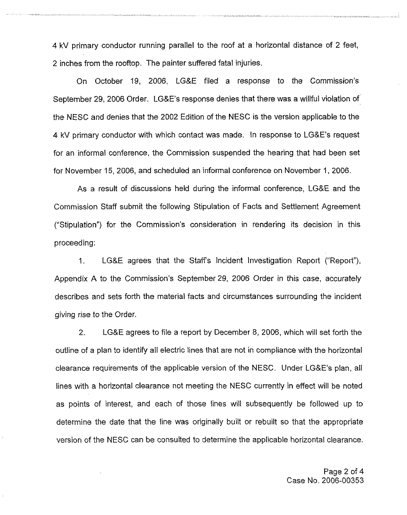4 kV primary conductor running parallel to the roof at a horizontal distance of 2 feet, 2 inches from the rooftop. The painter suffered fatal injuries.

On October 19, 2006, LG&E filed a response to the Commission's September 29, 2006 Order. LG&E's response denies that there was a willful violation of the MESC and denies that the 2002 Edition of the MESC is the version applicable to the 4 kV primary conductor with which contact was made. In response to LG&E's request for an informal conference, the Commission suspended the hearing that had been set for November 15, 2006, and scheduled an informal conference on November 1, 2006.

As a result of discussions held during the informal conference, LG8E and the Commission Staff submit the following Stipulation of Facts and Settlement Agreement ("Stipulation") for the Commission's consideration in rendering its decision in this proceeding:

1. LG&E agrees that the Staff's Incident Investigation Report ("Report"), Appendix A to the Commission's September 29, 2006 Order in this case, accurately describes and sets forth the material facts and circumstances surrounding the incident giving rise to the Order.

2. LG8E agrees to file a report by December 8, 2006, which will set forth the outline of a plan to identify all electric lines that are not in compliance with the horizontal clearance requirements of the applicable version of the NESC. Under LG8E's plan, all lines with a horizontal clearance not meeting the NESC currently in effect will be noted as points of interest, and each of those lines will subsequently be followed up to determine the date that the line was originally built or rebuilt so that the appropriate version of the NESC can be consulted to determine the applicable horizontal clearance.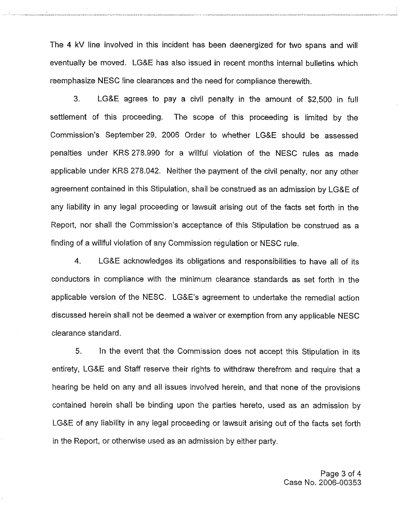The 4 kV line involved in this incident has been deenergized for two spans and will eventually be moved. LGBE has also issued in recent months internal bulletins which reemphasize MESC line clearances and the need for compliance therewith.

3. LG8E agrees to pay a civil penalty in the amount of \$2,500 in full settlement of this proceeding. The scope of this proceeding is limited by the Commission's September 29, 2006 Order to whether LG&E should be assessed penalties under KRS 278.990 for a willful violation of the NESC rules as made applicable under KRS 278.042. Neither the payment of the civil penalty, nor any other agreement contained in this Stipulation, shall be construed as an admission by LG&E of any liability in any legal proceeding or lawsuit arising out of the facts set forth in the Report, nor shall the Commission's acceptance of this Stipulation be construed as a tinding of a willful violation of any Commission regulation or NESC rule.

4. LG&E acknowledges its obligations and responsibilities to have all of its conductors in compliance with the minimum clearance standards as set forth in the applicable version of the NESC. LG&E's agreement to undertake the remedial action discussed herein shall not be deemed a waiver or exemption from any applicable MESC clearance standard.

5. In the event that the Commission does not accept this Stipulation in its entirety, LG8E and Staff reserve their rights to withdraw therefrom and require that a hearing be held on any and all issues involved herein, and that none of the provisions contained herein shall be binding upon the parties hereto, used as an admission by LG&E of any liability in any legal proceeding or lawsuit arising out of the facts set forth in the Report, or otherwise used as an admission by either party.